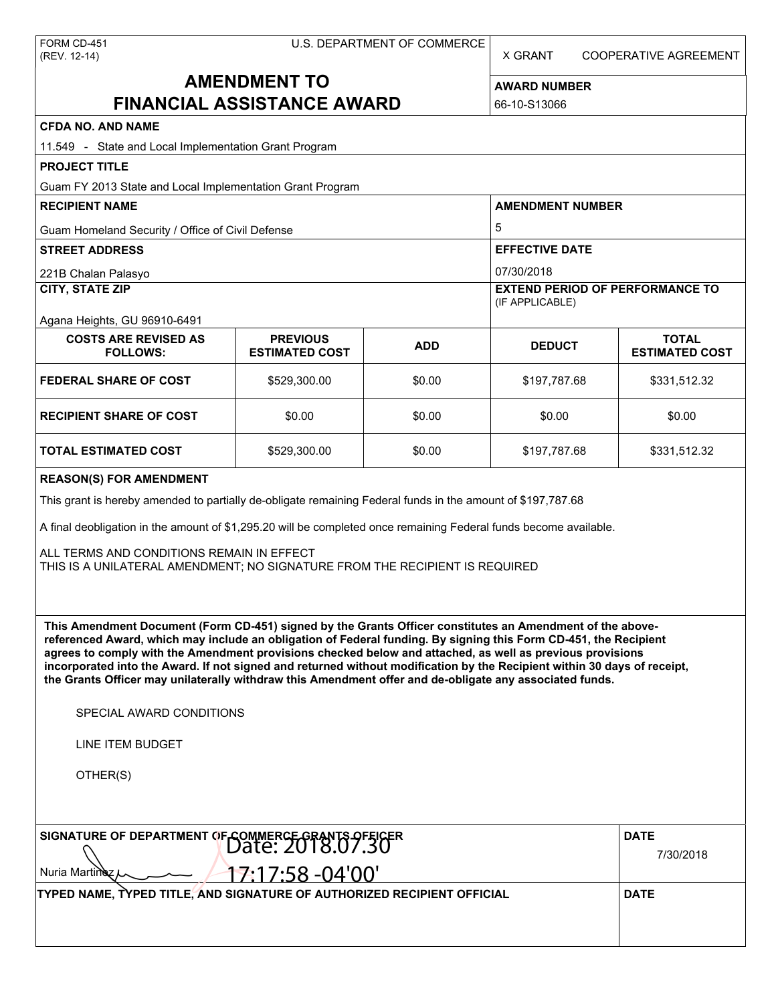X GRANT COOPERATIVE AGREEMENT

# **AMENDMENT TO FINANCIAL ASSISTANCE AWARD**

**AWARD NUMBER** 66-10-S13066

| <b>CFDA NO. AND NAME</b>                                                                                                                                                                                                                                                                                                                                                                                                                                                                                                                                                                                                                                                                                                                                                                                                                                                                                                                                                                                                                               |                                          |            |                                                           |                                       |  |  |
|--------------------------------------------------------------------------------------------------------------------------------------------------------------------------------------------------------------------------------------------------------------------------------------------------------------------------------------------------------------------------------------------------------------------------------------------------------------------------------------------------------------------------------------------------------------------------------------------------------------------------------------------------------------------------------------------------------------------------------------------------------------------------------------------------------------------------------------------------------------------------------------------------------------------------------------------------------------------------------------------------------------------------------------------------------|------------------------------------------|------------|-----------------------------------------------------------|---------------------------------------|--|--|
| 11.549 - State and Local Implementation Grant Program                                                                                                                                                                                                                                                                                                                                                                                                                                                                                                                                                                                                                                                                                                                                                                                                                                                                                                                                                                                                  |                                          |            |                                                           |                                       |  |  |
| <b>PROJECT TITLE</b>                                                                                                                                                                                                                                                                                                                                                                                                                                                                                                                                                                                                                                                                                                                                                                                                                                                                                                                                                                                                                                   |                                          |            |                                                           |                                       |  |  |
| Guam FY 2013 State and Local Implementation Grant Program                                                                                                                                                                                                                                                                                                                                                                                                                                                                                                                                                                                                                                                                                                                                                                                                                                                                                                                                                                                              |                                          |            |                                                           |                                       |  |  |
| <b>RECIPIENT NAME</b>                                                                                                                                                                                                                                                                                                                                                                                                                                                                                                                                                                                                                                                                                                                                                                                                                                                                                                                                                                                                                                  |                                          |            | <b>AMENDMENT NUMBER</b>                                   |                                       |  |  |
| Guam Homeland Security / Office of Civil Defense                                                                                                                                                                                                                                                                                                                                                                                                                                                                                                                                                                                                                                                                                                                                                                                                                                                                                                                                                                                                       |                                          |            | 5                                                         |                                       |  |  |
| <b>STREET ADDRESS</b>                                                                                                                                                                                                                                                                                                                                                                                                                                                                                                                                                                                                                                                                                                                                                                                                                                                                                                                                                                                                                                  |                                          |            | <b>EFFECTIVE DATE</b>                                     |                                       |  |  |
| 221B Chalan Palasyo                                                                                                                                                                                                                                                                                                                                                                                                                                                                                                                                                                                                                                                                                                                                                                                                                                                                                                                                                                                                                                    |                                          |            | 07/30/2018                                                |                                       |  |  |
| <b>CITY, STATE ZIP</b>                                                                                                                                                                                                                                                                                                                                                                                                                                                                                                                                                                                                                                                                                                                                                                                                                                                                                                                                                                                                                                 |                                          |            | <b>EXTEND PERIOD OF PERFORMANCE TO</b><br>(IF APPLICABLE) |                                       |  |  |
| Agana Heights, GU 96910-6491                                                                                                                                                                                                                                                                                                                                                                                                                                                                                                                                                                                                                                                                                                                                                                                                                                                                                                                                                                                                                           |                                          |            |                                                           |                                       |  |  |
| <b>COSTS ARE REVISED AS</b><br><b>FOLLOWS:</b>                                                                                                                                                                                                                                                                                                                                                                                                                                                                                                                                                                                                                                                                                                                                                                                                                                                                                                                                                                                                         | <b>PREVIOUS</b><br><b>ESTIMATED COST</b> | <b>ADD</b> | <b>DEDUCT</b>                                             | <b>TOTAL</b><br><b>ESTIMATED COST</b> |  |  |
| <b>FEDERAL SHARE OF COST</b>                                                                                                                                                                                                                                                                                                                                                                                                                                                                                                                                                                                                                                                                                                                                                                                                                                                                                                                                                                                                                           | \$529,300.00                             | \$0.00     | \$197,787.68                                              | \$331,512.32                          |  |  |
| <b>RECIPIENT SHARE OF COST</b>                                                                                                                                                                                                                                                                                                                                                                                                                                                                                                                                                                                                                                                                                                                                                                                                                                                                                                                                                                                                                         | \$0.00                                   | \$0.00     | \$0.00                                                    | \$0.00                                |  |  |
| <b>TOTAL ESTIMATED COST</b>                                                                                                                                                                                                                                                                                                                                                                                                                                                                                                                                                                                                                                                                                                                                                                                                                                                                                                                                                                                                                            | \$529,300.00                             | \$0.00     | \$197,787.68                                              | \$331,512.32                          |  |  |
| <b>REASON(S) FOR AMENDMENT</b><br>This grant is hereby amended to partially de-obligate remaining Federal funds in the amount of \$197,787.68<br>A final deobligation in the amount of \$1,295.20 will be completed once remaining Federal funds become available.<br>ALL TERMS AND CONDITIONS REMAIN IN EFFECT<br>THIS IS A UNILATERAL AMENDMENT; NO SIGNATURE FROM THE RECIPIENT IS REQUIRED<br>This Amendment Document (Form CD-451) signed by the Grants Officer constitutes an Amendment of the above-<br>referenced Award, which may include an obligation of Federal funding. By signing this Form CD-451, the Recipient<br>agrees to comply with the Amendment provisions checked below and attached, as well as previous provisions<br>incorporated into the Award. If not signed and returned without modification by the Recipient within 30 days of receipt,<br>the Grants Officer may unilaterally withdraw this Amendment offer and de-obligate any associated funds.<br>SPECIAL AWARD CONDITIONS<br><b>LINE ITEM BUDGET</b><br>OTHER(S) |                                          |            |                                                           |                                       |  |  |
| SIGNATURE OF DEPARTMENT OF COMMERCE GRANTS OF EIGER<br>Nuria Martinez                                                                                                                                                                                                                                                                                                                                                                                                                                                                                                                                                                                                                                                                                                                                                                                                                                                                                                                                                                                  | $7:17:58 - 04'00'$                       |            |                                                           | <b>DATE</b><br>7/30/2018              |  |  |
| TYPED NAME, TYPED TITLE, AND SIGNATURE OF AUTHORIZED RECIPIENT OFFICIAL                                                                                                                                                                                                                                                                                                                                                                                                                                                                                                                                                                                                                                                                                                                                                                                                                                                                                                                                                                                |                                          |            |                                                           | <b>DATE</b>                           |  |  |